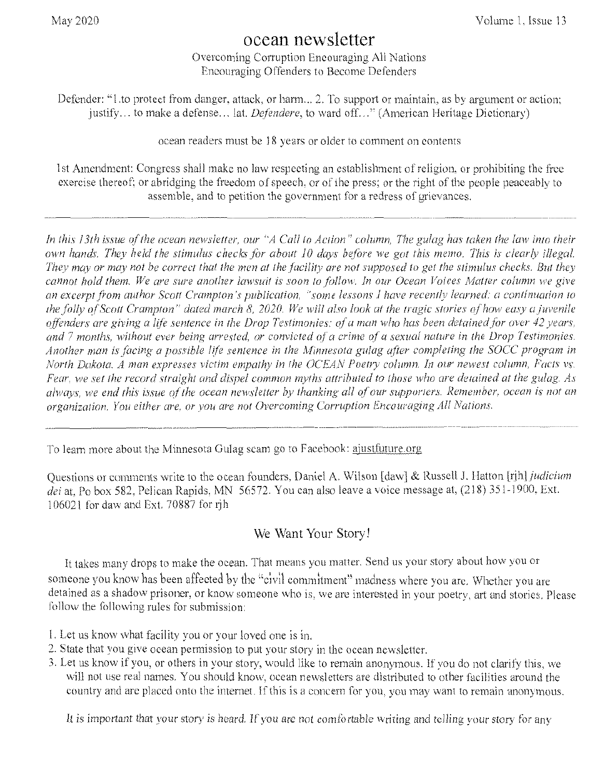# ocean newsletter

overcoming Corruption Encouraging All Nations Encouraging Offenders to Become Defenders

Defender: "1.to protect from danger, attack, or harm... 2. To support or maintain, as by argument or actior .. to make a defense... lat. *Defendere*, to ward off..." (American Heritage Dictionary)

ocean readers must be 18 years or older to comment on contents

1st Amendment: Congress shall make no law respecting an establishment of religion, or prohibiting the free exercise thereof; or abridging the freedom of speech, or of the press; or the right of the people peaceably to assemble, and to petition the government for a redress of grievances.

In this 13th issue of the ocean newsletter, our "A Call to Action" column, The gulag has taken the law into their *own hands. They held the stimulus cheeks for about 10 days before we got this memo. This is clearly illegal. They may or may not be correct that the men at the facility are not supposed to get the stimulus checks. But they cannot hold them. We are sure another lawsuit is soon to fallow. In our Ocean Voices Matter column we give*  an excerpt from author Scott Crampton's publication, "some lessons I have recently learned: a continuation to *the folly of Scott Crampton" dated march 8, 2020. We will also look at the tragic stories of how easy a juvenile offenders are giving a hj'lt sentence in the Drop Testimonies; of a man who has been detained Tor over 42 years, and 7 months, without ever being arrested, or convicted of a crime of a sexual nature in the Drop Testimonies. Another man is \_facing a possible life sentence in the Minnesota gulag after completing the SOCtl program in North Dakota. A man expresses victim empathy in the OCEAN Poetry column. In our newest column, Facts vs. Fear, we set the record straight and dispel common myths attributed to those who are detained at the gulag. As always, we end this issue of the ocean newsletter by thanking all of our supporters. Remember. ocean is not an organization. You either are, or you are not Overcoming Corruption Encouraging All Nations.* 

To learn more about the Minnesota Gulag scam go to Facebook: ajustfuture.org

Questions or comments write to the ocean founders, Daniel A. Wilson [daw] & Russell J. Hatton [rjh] *judicium* dei at, Po box 582, Pelican Rapids, MN 56572. You can also leave a voice message at, (218) 351-1900, Ext. 106021 for daw and Ext. 70887 for  $\overrightarrow{rh}$ 

# We Want Your Story!

It takes many drops to make the ocean. That means you matter. Send us your story about how you or someone you know has been affected by the "civil commitment" madness where you are, Whether you are detained as a shadow prisoner, or know someone who is, we are interested in your poetry, art and stories. Please follow the following rules for submission:

- I. Let us know what facility you Or your loved one is in.
- 2. State that you give ocean permission to put your story in the ocean newsletter.
- 3. Let us know if you, or others in your story, would like to remain anonymous. If you do not clarify this, we will not use real names. You should know, ocean newsletters are distributed to other facilities around the country and are placed onto the internet. If this is a concern for you, you may want to remain anonymous.

It is important that your story is heard. If you are not comfortable writing and telling your story for any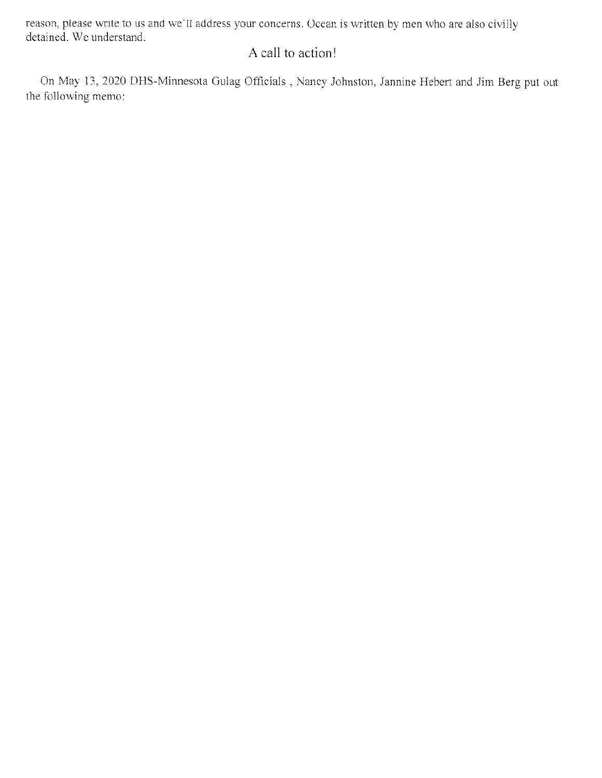reason, please write to us and we'll address your concerns. Ocean is written by men who are also civilly detained. We understand.

# A call to action!

On May 13, 2020 DHS-Minnesota Gulag Officials , Nancy Johnston, Jannine Hebert and Jim Berg put out the following memo: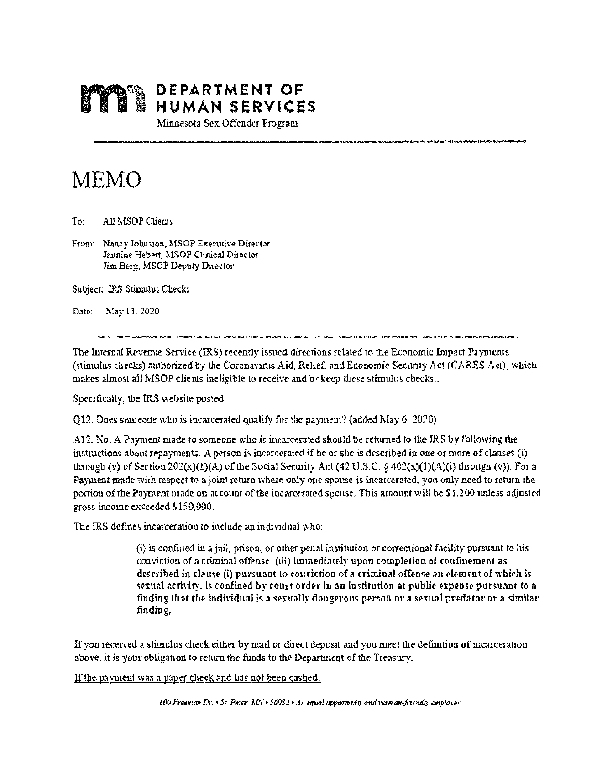

Minnesota Sex Offender Program

# MEMO

To: All MSOP Clients

From: Nancy Johnston, MSOP Executive Director Jannine Hebert, MSOP Clinical Director Jim Berg, MSOP Deputy Director

Subject: IRS Stimulus Checks

Date: May 13, 2020

The Internal Revenue Service (IRS) recently issued directions related 10 the Economic Impact Payments (stimulus checks) authorized by the Coronavinis Aid, Relief, and Economic Security Act (CARES Act), which makes almost all MSOP clients ineligible to receive and/or keep these stimulus checks..

Specifically, the IRS website posted:

Q12. Does someone who is incarcerated qualify for the payment? (added May 6, 2020)

Al 2. No. A Payment made to someone who is incarcerated should be returned to the IRS by following the instructions about repayments. A person is incarcerated if be or she is described in one or more of clauses (i) through (v) of Section  $202(x)(1)(A)$  of the Social Security Act (42 U.S.C. § 402(x)(1)(A)(i) through (v)). For a Payment made with respect to a joint return where only one spouse is incarcerated, you only need to return the portion of the Payment made on account of the incarcerated spouse. This amount will be \$1,200 unless adjusted gross income exceeded 5150,000.

The IRS defines incarceration to include an individual who:

(1) is confined in a jail, prison, or other penal institution or correctional facility pursuant to his conviction of a criminal offense, (iii) immediately upon completion of confinemen described in clause (i) pursuant to conviction of a criminal offense an element of which is sexual activity, is confined by court order in an institution at public expense pursuant to a finding that the individual is a sexually dangerous person or a sexual predator or a similar finding.

If you received a stimulus check either by mail or direct deposit and you meet the definition of incarceration above, it is your obligation to return the funds to the Department of the Treasury.

If the payment was a paper check and has not been cashed: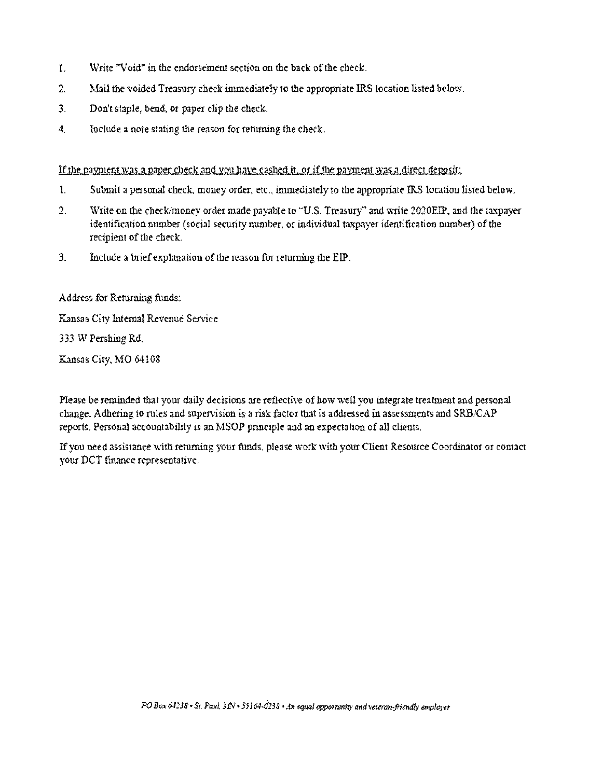- I. Write "Void" in the endorsement section on the back of the check.
- 2. Mail the voided Treasury check immediately to the appropriate IRS location listed below.
- 3. Don't staple, bend, or paper clip the check.
- 4. Include a note stating the reason for returning the check.

If the payment was a paper check and you have cashed it, or if the payment was a direct deposit:

- 1. Submit a personal check, money order, etc., immediately to the appropriate RS location listed below.
- 2. Write on the check'money order made payable to 'U.S. Treasury" and write 2020E1P, and the taxpayer identification number (social security number, or individual taxpayer identification number) of the recipient of the check,
- $3.$  Include a brief explanation of the reason for returning the EIP.

Address for Returning funds:

Kansas City Internal Revenue Service

333 W Pershing Rd,

Kansas City, MO 64108

Please be reminded that your daily decisions ate reflective of how well you integrate treatment and personal change. Adhering to rules and supervision is a risk factor that is addressed in assessments and 5KB/CAP reports, Personal accountability is an MSOP principle and an expectation of all clients.

If you need assistance with returning your funds, please work with your Client Resource Coordinator or contact your DCT finance representative.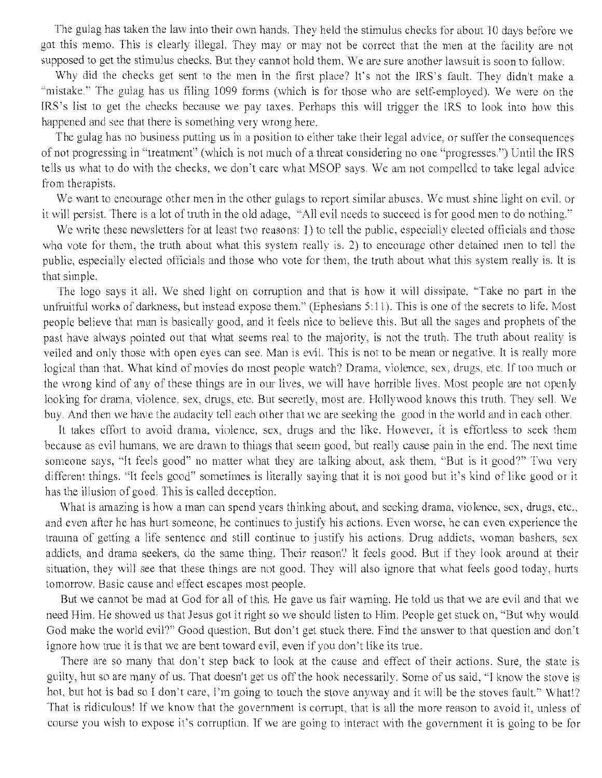The gulag has taken the law into their own hands. They held the stimulus checks for about 10 days before we got this memo. This is clearly illegal. They may or may not be correct that the men at the facility are not supposed to get the stimulus checks. But they cannot hold them. We are sure another lawsuit is soon to follow.

Why did the checks get sent to the men in the first place? It's not the 1RS's fault. They didn't make a "mistake." The gulag has us filing 1099 forms (which is for those who are self-employed). We were on the **I**RS's list to get the checks because we pay taxes. Perhaps this will trigger the IRS to look into how this happened and see that there is something very wrong here.

The gulag has no business putting us in a position to either take their legal advice, or suffer the consequences of not progressing in "treatment" (which is not much of a threat considering no one "progresses.") Until the IRS tells us what to do with the cheeks, we don't care what MSOP says. We am not compelled to take legal advice from therapists.

We want to encourage other men in the other gulags to report similar abuses. We must shine light on evil, or it will persist. There is a lot of truth in the old adage, 'All evil needs to succeed is for good men to do nothing,"

We write these newsletters for at least two reasons: I) to tell the public, especially elected officials and those who vote for them, the truth about what this system really is. 2) to encourage other detained men to tell the public, especially elected officials and those who vote for them, the truth about what this system really is. It is that simple.

The logo says it all. We shed light on corruption and that is how it will dissipate. "Take no part in the unfruitful works of darkness, but instead expose them." (Ephesians  $5:11$ ). This is one of the secrets to life. Most people believe that man is basically good, and it feels nice to believe this. But all the sages and prophets of the past have always pointed out that what seems real to the majority, is not the truth. The truth about reality is veiled and only those with open eyes can see. Man is evil. This is not to be mean or negative. It is really more logical than that. What kind of movies do most people watch? Drama, violence, sex, drugs, etc. If too much or the wrong kind of any of these things are in our lives, we will have horrible lives. Most people are not openly looking for drama, violence, sex, drugs, etc. But secretly, most are, Hollywood knows this truth. They sell. We buy. And then we have the audacity tell each other that we are seeking the good in the world and in each other.

It takes effort to avoid drama, violence, sex, drugs and the like. However, it is effortless to seek them because as evil humans, we are drawn to things that seem good, but really cause pain in the end. The next time someone savs, "It feels good" no matter what they are talking about, ask them, "But is it good?" Two very different things. "It feels good" sometimes is literally saying that it is not good but it's kind of like good or it has the illusion of good. This is called deception.

What is amazing is how a man can spend years thinking about, and seeking drama, violence, sex, drugs, etc., and even after he has hurt someone, he continues to justify his actions, Even worse, he can even experience the trauma of getting a life sentence and still continue to justify his actions. Drug addicts, woman bashers, sex addicts, and drama seekers, do the same thing. Their reason? It feels good. But if they look around at their situation, they will see that these things are not good. They will also ignore that what feels good today, hurts tomorrow. Basic cause and effect escapes most people.

But we cannot be mad at God for all of this. He gave us fair warning. He told us that we are evil and that we need Him. He showed us that Jesus got it right so we should listen to Him. People get stuck on, "But why would God make the world evil?" Good question. But don't get stuck there. Find the answer to that question and don't ignore how true it is that we are bent toward evil, even if you don't like its true.

There are so many that don't step back to look at the cause and effect of their actions. Sure, the state is guilty, hut so are many of us. That doesn't get us off the hook necessarily. Some of us said, "I know the stove is hot, but hot is had so I don't care, I'm going to touch the stove anyway and it will be the stoves fault." What!? That is ridiculous! If we know that the government is corrupt, that is all the more reason to avoid it, unless of course you wish to expose it's corruption. If we are going to interact with the government it is going to be for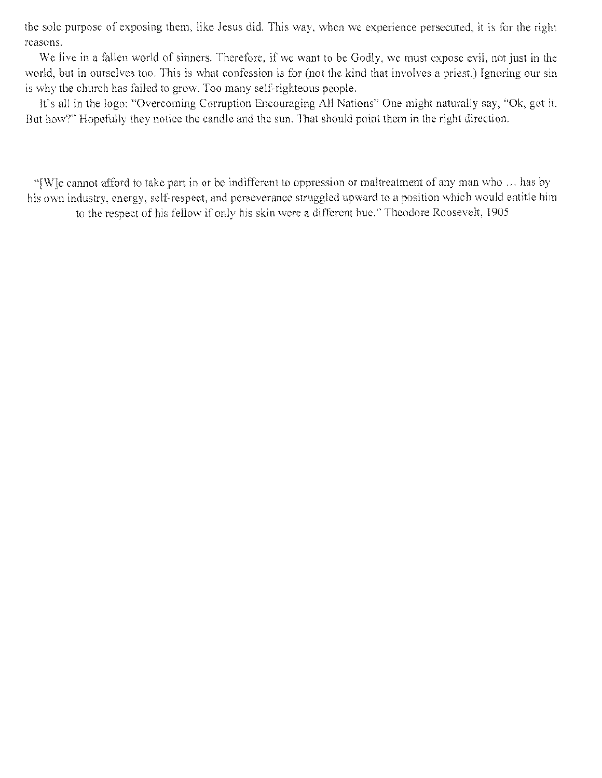the sole purpose of exposing them, like Jesus did. This way, when we experience persecuted, it is for the right reasons.

We live in a fallen world of sinners. Therefore, if we want to be Godly, we must expose evil, not just in the world, but in ourselves too. This is what confession is for (not the kind that involves a priest.) Ignoring our sin is why the church has failed to grow. Too many self-righteous people.

It's all in the logo: "Overcoming Corruption Encouraging All Nations" One might naturally say, "Ok, got it. But how?" Hopefully they notice the candle and the sun. That should point them in the right direction.

'[W]e cannot afford to take part in or be indifferent to oppression or maltreatment of any man, who ... has by his own industry, energy, self-respect, and perseverance struggled upward to a position which would entitle him to the respect of his fellow if only his skin were a different hue." Theodore Roosevelt, 1905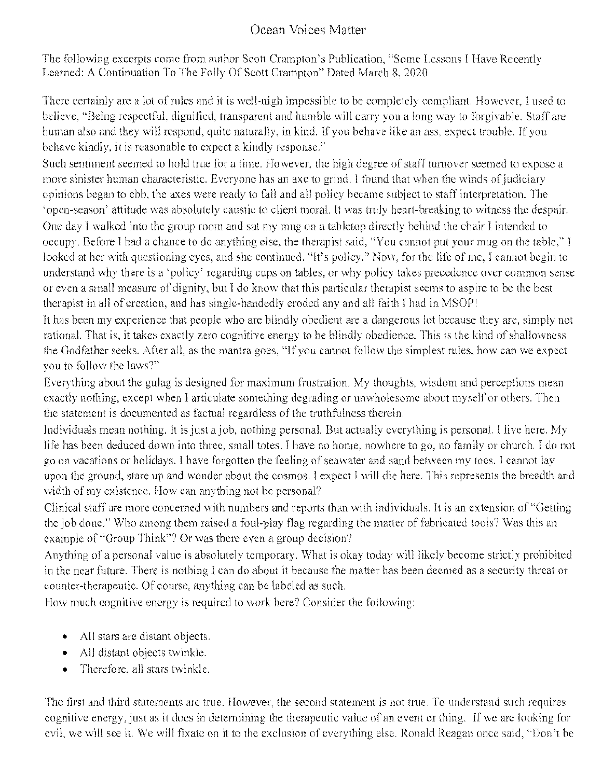# Ocean Voices Matter

The following excerpts come from author Scott Crampton's Publication, "Some Lessons I Have R Learned: A Continuation To The Folly Of Scott Crampton" Dated March 8, 2020

ertainly are a lot of rules and it is well-nigh impossible to be completely comp believe, "Being respectful, dignified, transparent and humble will carry you a long way to forgivable human also and they will respond, quite naturally, in kind. If you behave like an ass, expect trouble, behave kindly, it is reasonable to expect a kindly response."

Such sentiment seemed to hold true for a time. However, the high degree of staff turnover seemed to expose a more sinister human characteristic. Everyone has an axe to grind. I found that when the winds of judiciary opinions began to ebb, the axes were ready to fall and all policy became subject to staff interpretation. The open-season' attitude was absolutely caustic to client moral. It was truly heart-breaking to witness the despair. One day I walked into the group room and sat my mug on a tabletop directly behind the chair I intended to occupy. Before I had a chance to do anything else, the therapist said, "You cannot put your mug on the table," I looked at her with questioning eyes, and she continued. "It's policy." Now, for the life of me, I cannot begin to understand why there is a 'policy' regarding cups on tables, or why policy takes precedence over common sense or even a small measure of dignity, but I do know that this particular therapist seems to aspire to he the best therapist in all of creation, and has single-handedly eroded any and all faith I had in MSOP!

It has been my experience that people who are blindly obedient are a dangerous lot because they are, simply not rational. That is, it takes exactly zero cognitive energy to be blindly obedience. This is the kind of shallowness the Godfather seeks. After all, as the mantra goes, "If you cannot follow the simplest rules, how can we expect you to follow the laws?"

Everything about the gulag is designed for maximum frustration. My thoughts, wisdom and perceptions mean exactly nothing, except when I articulate something degrading or unwholesome about myself or others. Then the statement is documented as factual regardless of the truthfulness therein,

Individuals mean nothing. It is just a job, nothing personal. But actually everything is personal. I live here. My life has been deduced down into three, small totes. I have no home, nowhere to go. no family or church, 1 do not go on vacations or holidays. I have forgotten the feeling of seawater and sand between my toes. I cannot lay upon the ground, stare up and wonder about the cosmos. I expect I will die here. This represents the breadth and width of my existence. How can anything not be personal?

Clinical staff are more concerned with numbers and reports than with individuals. It is an extension of ''Getting the job done." Who among them raised a foul-play flag regarding the matter of fabricated tools? Was this an example of "Group Think"? Or was there even a group decision?

Anything of a personal value is absolutely temporary. What is okay today will likely become strictly prohibited in the near 'future. There is nothing I can do about it because the matter has been deemed as a security threat or counter-therapeutic. Of course, anything can be labeled as such.

How much cognitive energy is required to work here? Consider the following:

- All stars are distant objects.
- All distant objects twinkle.
- Therefore, all stars twinkle.

The first and third statements are true. However, the second statement is not true. To understand such requires cognitive energy, just as it does in determining the therapeutic value of an event or thing. If we are looking for we will see it. We will fixate on it to the exclusion of everything else. Ronald Reagan once said, "Don't be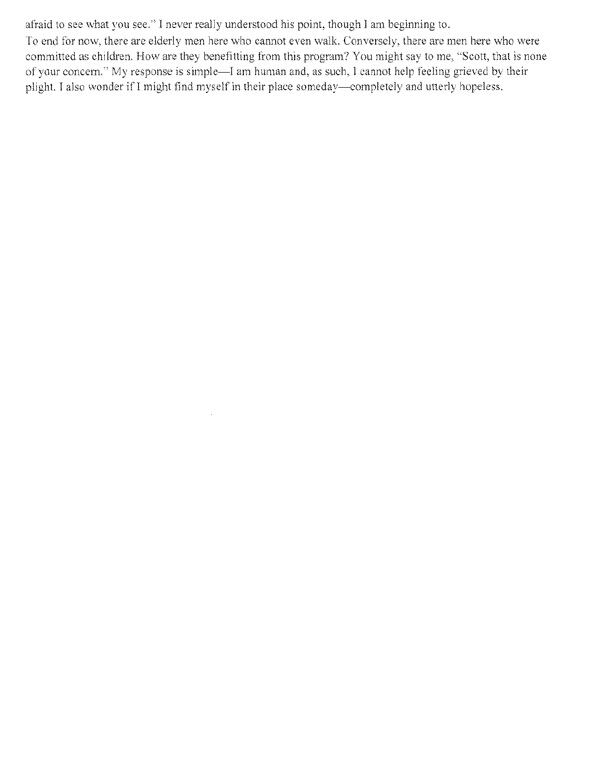afraid to see what you see." I never really understood his point, though I am beginning to.

 $\bar{z}$ 

To end for now, there are elderly men here who cannot even walk. Conversely, there are men here who were committed as children. How are they benefitting from this program? You might say to me. "Scott, that is none of your concern." My response is simple—I am human and, as such, I cannot help feeling grieved by their plight. I also wonder if I might find myself in their place someday—completely and utterly hopeless.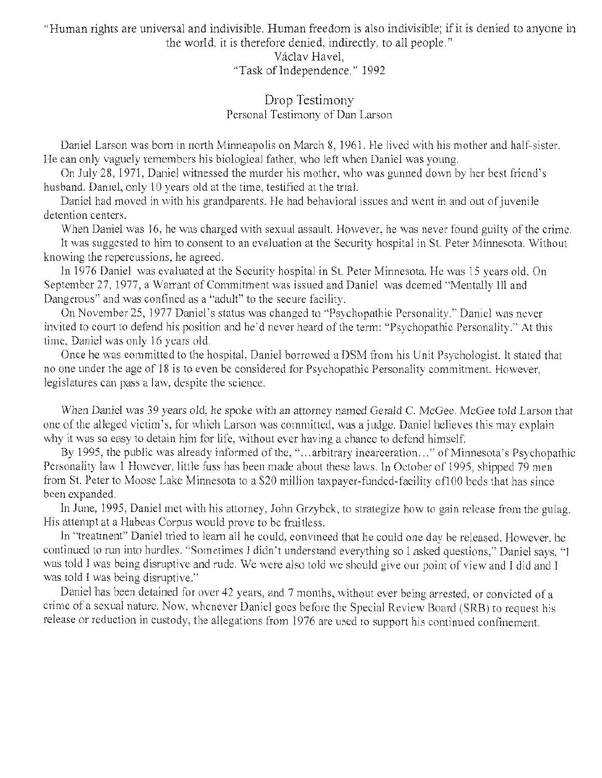"Human rights are universal and indivisible. Human freedom is also indivisible; if it is denied to anyone in the world, it is therefore denied, indirectly, to all people."

> Václav Havel, "Task of Independence," 1992

## Drop Testimony Personal Testimony of Dan Larson

Daniel Larson was born in north Minneapolis on March 8, 1961. He lived with his mother and half-sister, He can only vaguely remembers his biological father, who left when Daniel was young.

On July 28, 1971, Daniel witnessed the murder his mother, who was gunned down by her best friend's husband. Daniel, only 10 years old at the time. testified at the trial.

Daniel had moved in with his grandparents. He had behavioral issues and went in and out of juvenile detention centers.

When Daniel was 16. he was charged with sexual assault. However, he was never found guilty of the crime.

It was suggested to him to consent to an evaluation at the Security hospital in St. Peter Minnesota. Without knowing the repercussions, he agreed.

In 1976 Daniel was evaluated at the Security hospital in St. Peter Minnesota. He was 15 years old, On September 27, 1977, a Warrant of Commitment was issued and Daniel was deemed 'Mcntally ill and Dangerous" and was confined as a 'adult" to the secure facility.

On November 25, 1977 Daniel's status was changed to "Psychopathic Personality." Daniel was never invited to court to defend his position and he'd never heard of the term: "Psychopathic Personality." At this time. Daniel was only 16 years old.

Once he was committed to the hospital. Daniel borrowed a DSM from his Unit Psychologist. It stated that no one under the age of 18 is to even be considered for Psychopathic Personality commitment. However, legislatures can pass a law, despite the science,

When Daniel was 39 years old, he spoke with an attorney named Gerald C. McGee, McGee told Larson that one of the alleged victim's, for which Larson was committed. was a judge. Daniel believes this may explain why it was so easy to detain him for life, without ever having a chance to defend himself.

By 1995, the public was already informed of the, "...arbitrary incarceration..." of Minnesota's Psychopathic Personality law I However, little fuss has been made about these laws, In October of 1995, shipped 79 men from St. Peter to Moose Lake Minnesota to a \$20 million taxpayer-funded-facility of 100 beds that has since been expanded.

In June, 1995, Daniel met with his attorney, John Grzybek, to strategize how to gain release from the gulag. His attempt at a Habeas Corpus would prove to he fruitless.

In "treatment" Daniel tried to learn all he could, convinced that he could one day be released. However, he continued to run into hurdles, "Sometimes I didn't understand everything so I asked questions," Daniel says. '1 was told I was being disruptive and rude. We were also told we should give our point of view and I did and I was told I was being disruptive."

Daniel has been detained for over 42 years. and 7 months, without ever being arrested, or convicted of a crime of a sexual nature. Now, whenever Daniel goes before the Special Review Board (SRB) to request his release or reduction in custody, the allegations from 1976 are used to support his continued confinement,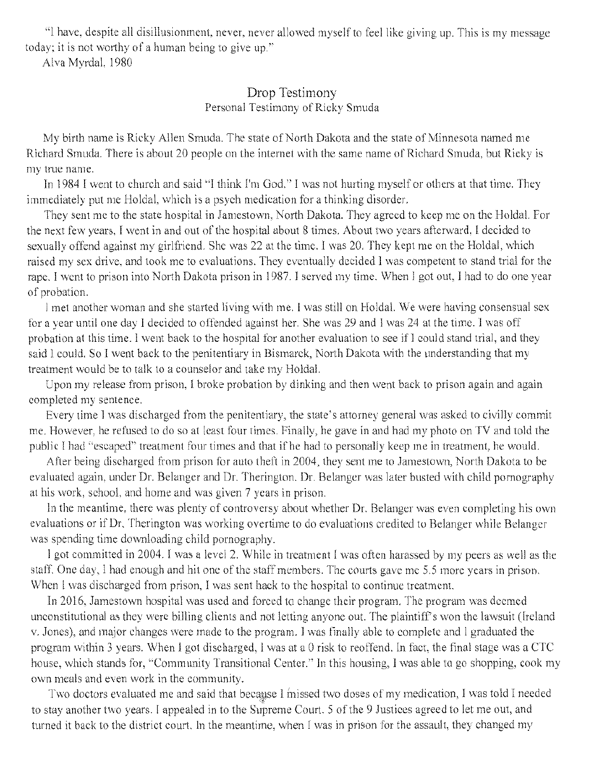'I have, despite all disillusionment, never, never allowed myself to feel like giving up. This is my mess today; it is not worthy of a human being to give up."

Alva Myrdal, 1980

# Drop Testimony Personal Testimony of Ricky Smuda

My birth name is Ricky Allen Smuda, The state of North Dakota and the state of Minnesota named me Richard Smuda. There is about 20 people on the internet with the same name of Richard Smuda, but Ricky is my true name.

In 1984 I went to church and said "I think I'm God," I was not hurting myself or others at that time. They immediately put me Holdal, which is a psych medication for a thinking disorder.

They sent me to the state hospital in Jamestown. North Dakota. They agreed to keep me on the Holdal. For the next few years. I went in and out of the hospital about 8 times. About two years afterward, I decided to sexually offend against my girlfriend. She was 22 at the time. I was 20. They kept me on the Holdal, which raised my sex drive, and took me to evaluations. They eventually decided I was competent to stand trial for the rape. I went to prison into North Dakota prison in 1987. I served my time. When I got out. I had to do one year of probation.

I met another woman and she started living with me. I was still on. Holdal. We were having consensual sex for a year until one day I decided to offended against her. She was 29 and I was 24 at the time. I was off probation at this time. I went back to the hospital for another evaluation to see if I could stand trial, and they said I could. So I went back to the penitentiary in Bismarck, North Dakota with the understanding that my treatment would be to talk to a counselor and take my Holdal.

Upon my release from prison. I broke probation by dinking and then went back to prison again and again completed my sentence.

Every time I was discharged from the penitentiary, the state's attorney general was asked to civilly commit me. However, he refused to do so at least four times. Finally, he gave in and had my photo on TV and told the public I had "escaped" treatment four times and that if he had to personally keep me in treatment, he would.

After being discharged from prison for auto theft in 2004, they sent me to Jamestown, North Dakota to be evaluated again, under Dr. Belanger and Dr. Therington. Dr. Belanger was later busted with child pornography at his work, school, and home and was given 7 years in prison.

In the meantime, there was plenty of controversy about whether Dr. Belanger was even completing his own evaluations or if Dr. Therington was working overtime to do evaluations credited to Belanger while Belanger was spending time downloading child pornography.

I got committed in 2004. I was a level 2. While in treatment I was often harassed by my peers as well as the staff. One day, I had enough and hit one of the staff members. The courts gave me 5.5 more years in prison. When I was discharged from prison, I was sent hack to the hospital to continue treatment.

In 2016, Jamestown hospital was used and forced to change their program. The program was deemed unconstitutional as they were billing clients and not letting anyone out. The plaintiff's won the lawsuit (Ireland v. Jones), and major changes were made to the program. I was finally able to complete and I graduated the program within 3 years. When I got discharged, I was at a 0 risk to reoffend. In fact, the final stage was a CTC house, which stands for, "Community Transitional Center." In this housing, I was able to go shopping, cook my own meals and even work in the community.

Two doctors evaluated me and said that because I missed two doses of my medication, I was told I needed to stay another two years. I appealed in to the Supreme Court. S of the 9 Justices agreed to let me out, and turned it hack to the district court, In the meantime, when I was in prison for the assault, they changed my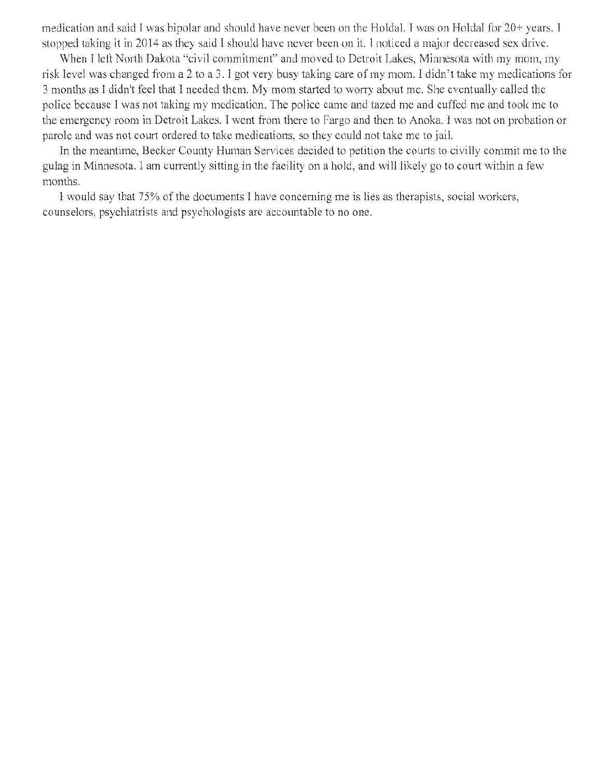medication and said I was bipolar and should have never been on the Holdal. I was on Holdal for  $20+$  years. I stopped taking it in 2014 as they said I should have never been on it. I noticed a major decreased sex drive.

When I left North Dakota "civil commitment" and moved to Detroit Lakes, Minnesota with my mom, my risk level was changed from a 2 to a 3. I got very busy taking care of my morn. I didn't take my medications for 3 months as I didn't feel that I needed them. My mom, started to worry about me. She eventually called the police because I was not taking my medication. The police came and tazed me and cuffed me and took me to the emergency room in Detroit Lakes, I went from there to Fargo and then, to Anoka. I was not on probation or parole and was not court ordered to take medications, so they could not take me to jail.

In the meantime, Becker County Human Services decided to petition the courts to civilly commit me to the gulag in Minnesota. I am currently sitting in the facility on a hold, and will likely go to court within a few months.

I would say that 75% of the documents I have concerning me is lies as therapists, social workers, counselors, psychiatrists and psychologists are accountable to no one,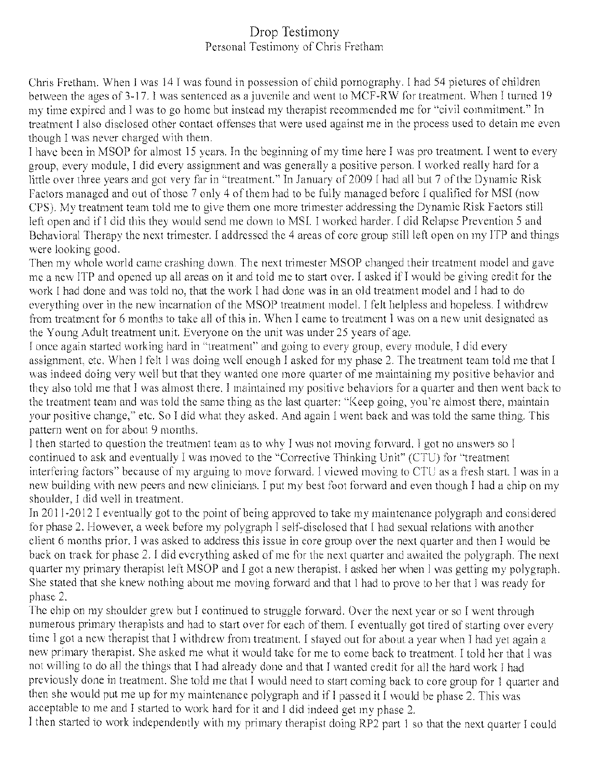# Drop Testimony Personal Testimony of Chris Fretham

Chris Fretham. When I was 14 I was found in possession of child pornography. I had 54 pictures of children between the ages of 3-17. I was sentenced as a juvenile and went to MCF-RW for treatment. When I turned 19 my time expired and I was to go home but instead my therapist recommended me for "civil commitment.' In treatment I also disclosed other contact offenses that were used against me in the process used to detain me even though I was never charged with them.

I have been in MSOP for almost 15 years, In the beginning of my time here I was pro treatment. I went to every group, every module, I did every assignment and was generally a positive person. I worked really hard for a little over three years and got very far in "treatment." In January of 2009 1 had all but 7 of the Dynamic Risk Factors managed and out of those 7 only 4 of them had to be fully managed before I qualified for MSI (now CPS). Mv treatment team told me to give them one more trimester addressing the Dynamic Risk Factors still left open and if I did this they would send me down to MSI. I worked harder. I did Relapse Prevention 5 and Behavioral Therapy the next trimester. I addressed the 4 areas of core group still left open on my ITP and things were looking good.

Then my whole world came crashing down. The next trimester MSOP changed their treatment model and gave me a new lIP and opened up all areas on it and told me to start over. I asked if I would he giving credit for the work I had done and was told no, that the work I had done was in an old treatment model and I had to do everything over in the new incarnation of the MSOP treatment model. I felt helpless and hopeless. I withdrew from treatment for 6 months to take all of this in. When I came to treatment I was on a new unit designated as the Young Adult treatment unit. Everyone on the unit was under 25 years of age.

I once again started working hard in "treatment" and going to every group, every module. I did every assignment, etc. When I felt I was doing well enough I asked for my phase 2. The treatment team told me that I was indeed doing very well but that they wanted one more quarter of me maintaining my positive behavior and they also told me that I was almost there. I maintained my positive behaviors for a quarter and then went back to the treatment team and was told the same thing as the last quarter: "Keep going, you're almost there, maintain your positive change," etc. So I did what they asked. And again I went back and was told the same thing. This pattern went on for about 9 months.

I then started to question the treatment team as to why I was not moving forward. I got no answers so I continued to ask and eventually I was moved to the "Corrective Thinking Unit" (CTU) for "treatment interfering factors" because of my arguing to move forward. I viewed moving to CTU as a fresh start. I was in a new building with new peers and new clinicians. I put my best foot forward and even though I had a chip on my shoulder, I did well in treatment.

In 2011-2012 I eventually got to the point of being approved to take my maintenance polygraph and considered For phase 2. However, a week before my polygraph I self-disclosed that I had sexual relations with another client 6 months prior. I was asked to address this issue in core group over the next quarter and then I would he back on track for phase 2. 1 did everything asked of me for the next quarter and awaited the polygraph. The next quarter my primary therapist left MSOP and I got a new therapist. I asked her when I was getting my polygraph. She stated that she knew nothing about me moving forward and that I had to prove to her that I was ready for phase 2.

he chip on my shoulder grew but I continued to struggle forward. Over the next year or so I went through numerous primary therapists and had to start over for each of them. 1 eventually got tired of starting over every time I got a new therapist that I withdrew from treatment. I stayed out for about a year when I had yet again a new primary therapist. She asked me what it would take for me to come back to treatment. I told her that I was not willing to do all the things that I had already done and that I wanted credit for all the hard work I had previously done in treatment. She told me that I would need to start coming back to core group for 1 quarter and then she would put me up for my maintenance polygraph and if I passed it I would be phase 2. This was acceptable to me and I started to work hard for it and I did indeed get my phase 2.

1 then started to work independently with my primary therapist doing R.P2 part. I so that the next quarter I could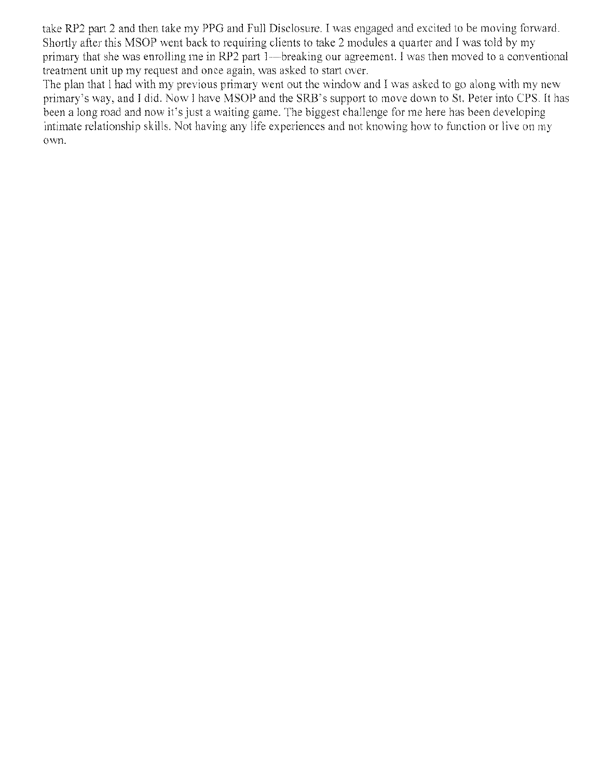take RP2 part 2 and then take my PPG and Full Disclosure. I was engaged and excited to be moving forward. Shortly after this MSOP went back to requiring clients to take 2 modules a quarter and I was told by my primary that she was enrolling me in RP2 part 1—breaking our agreement. I was then moved to a conventional treatment unit up my request and once again, was asked to start over.

The plan that I had with my previous primary went out the window and I was asked to go along with my new primary's way, and I did. Now I have MSOP and the SRB's support to move down to St. Peter into CPS. It has been a long road and now it's just a waiting game. The biggest challenge for me here has been developing intimate relationship skills. Not having any life experiences and not knowing how to function or live on my own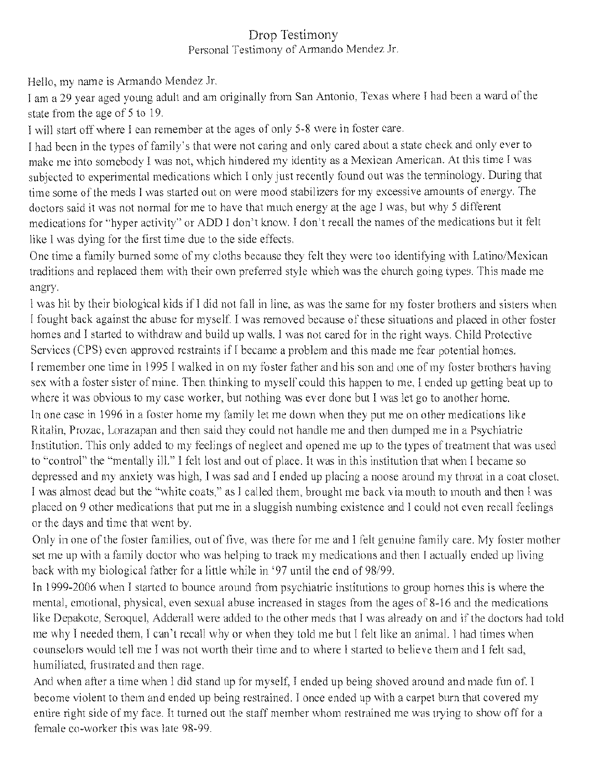# Drop Testimony Personal Testimony of Armando Mendez Jr.

Hello, my name is Armando Mendez Jr.

I am a 29 year aged young adult and am originally from San Antonio, Texas where I had been a ward of the state from the age of S to 19.

I will start off where I can remember at the ages of only 5-8 were in foster care.

I had been in the types of family's that were not caring and only cared about a state check and only ever to make me into somebody I was not, which hindered my identity as a Mexican American. At this subjected to experimental medications which I only just recently found out was the terminology. During that time some of the meds I was started out on were mood stabilizers for my excessive amounts of energy. The doctors said it was not normal for me to have that much energy at the age I was, but why S different medications for ''hyper activity' or ADD I don't know. I don't recall the names of the medications but it felt like I was dying for the first time due to the side effects.

One time a family burned some of my cloths because they felt they were too identifying with Latino/Mexican traditions and replaced them with their own preferred style which was the church going types. This made me angry

I was hit by their biological kids if I did not fall in line, as was the same for my foster brothers and sisters when I fought back against the abuse for myself. I was removed because of these situations and placed in other foster homes and I started to withdraw and build up walls. I was not cared for in the right ways, Child Protective Services (CPS) even approved restraints if I became a problem and this made me fear potential homes.

I remember one time in 1995 1 walked in on my foster father and his son and one of my foster brothers having sex with a foster sister of mine. Then thinking to myself could this happen to me, I ended up getting beat up to where it was obvious to my case worker, but nothing was ever done but I was let go to another home.

In one ease in 1996 in a foster home my family let me down when they put me on other medications like Ritalin, Prozac, Lorazapan and then said they could not handle me and then dumped me in a Psychiatric Institution. This only added to my feelings of neglect and opened me up to the types of treatment that was used to "control" the "mentally ill." I felt lost and out of place. It was in this institution that when I became so depressed and my anxiety was high, I was sad and I ended up placing a noose around my throat in a coat closet. I was almost dead but the "white coats," as I called them, brought me back via mouth to mouth and then I was placed on 9 other medications that put me in a sluggish numbing existence and I could not even recall feelings or the days and time that went by.

Only in one of the foster families, out of five, was there for me and I felt genuine family care. My foster mother set me up with a family doctor who was helping to track my medications and then I actually ended up living back with my biological father for a little while in '97 until the end of 98/99.

In 1999-2006 when I started to bounce around from psychiatric institutions to group homes this is where the mental, emotional, physical, even sexual abuse increased in stages from the ages of 8-16 and the medications like Depakote, Seroquel, Adderall were added to the other meds that I was already on and if the doctors had told me why I needed them. I can't recall why or when they told me but I felt like an animal. I had times when counselors would tell me I was not worth their time and to where I started to believe them and I felt sad, humiliated. frustrated and then rage.

And when after a time when I did stand up for myself, I ended up being shoved around and made fun of. I become violent to them and ended up being restrained. I once ended up with a carpet burn that covered my entire right side of my face. It turned out the staff member whom restrained me was trying to show off for a female co-worker this was late 98-99.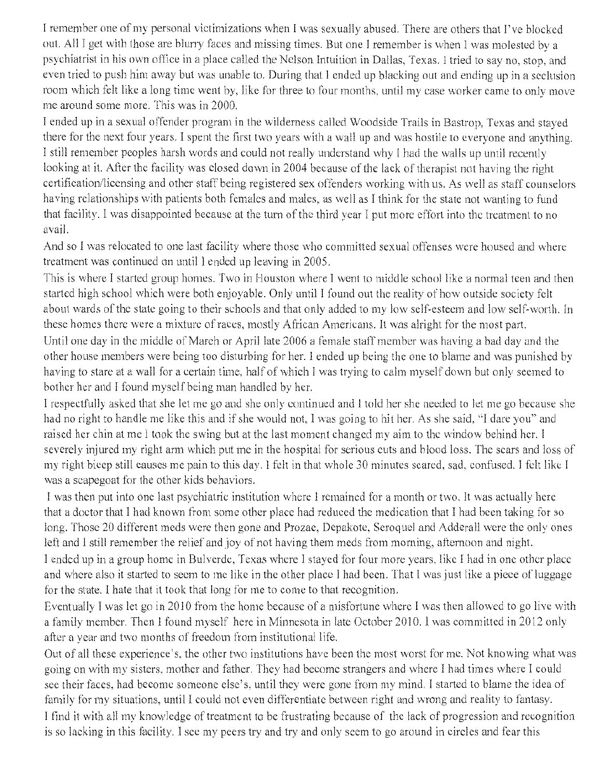I remember one of my personal victimizations when I was sexually abused. There are others that I've blocked out. All I get with those are blurry faces and missing times. But one I remember is when I was molested by a psychiatrist in his own office in a place called the Nelson Intuition in Dallas, Texas. I tried to say no, stop, and even tried to push him away but was unable to. During that I ended up blacking out and ending up in a seclusion room which felt like a long time went by, like for three to four months, until my case worker came to only move me around some more. This was in 2000.

I ended up in a sexual offender program in the wilderness called Woodside Trails in Bastrop, Texas and stayed there for the next four years. I spent the first two years with a wall up and was hostile to everyone and anything. I still remember peoples harsh words and could not really understand why 1 had the walls up until rece looking at it. After the facility was closed down in 2004 because of the lack of therapist not having the right certification/licensing, and other staff being registered sex offenders working with us. As well as staff counselors having relationships with patients both females and males, as well as I think for the state not wanting to fund that facility. I was disappointed because at the turn of the third year I put more effort into the treatment to no avail.

And so I was relocated to one last facility where those who committed sexual offenses were housed and where treatment was continued on until I ended up leaving in 2005.

This is where I started group homes. Two in Houston where I went to middle school like a normal teen and then started high school which were both enjoyable. Only until I found out the reality of how outside society felt about wards of the state going to their schools and that only added to my low self-esteem and low self-worth. In these homes there were *a* mixture of races, mostly African Americans. It was alright for the most part. Until one day in the middle of March or April late 2006 a female staff member was having a bad day and the other house members were being too disturbing for her. I ended up being the one to blame and was punished by having to stare at a wall for a certain time, half of which I was trying to calm myself down but only seemed to

bother her and I found myself being man handled by her.

I respectfully asked that she let me go and she only continued and I told her she needed to let me go because she had no right to handle me like this and if she would not, I was going to hit her. As she said, "I dare you" and raised her chin at me I took the swing but at the last moment changed my aim to the window behind her. I severely injured my right arm which put me in the hospital for serious euts and blood loss. The scars and loss of my right bicep still causes me pain to this day. I felt in that whole 30 minutes scared, sad, confused. I felt like I was a scapegoat for the other kids behaviors.

I was then put into one last psychiatric institution where I remained for a month or two. It was actually here that a doctor that I had known from some other place had reduced the medication that I had been taking for so long. Those 20 different meds were then gone and Prozac, Depakote, Seroquel and Adderall were the only ones left and I still remember the relief and joy of not having them meds from morning, afternoon and night.

I ended up in a group home in Bulverde, Texas where I staved for four more years, like I had in one other place and where also it started to seem to me like in the other place I had been. That I was just like a piece of luggage for the state. I hate that it took that long for me to come to that recognition.

Eventually I was let go in 2010 from the home because of a misfortune where I was then allowed to go live with a family member. Then I found myself here in Minnesota in late October 2010. I was committed in 2012 only after a year and two months of freedom from institutional life,

Out of all these experience's, the other two institutions have been the most worst for me. Not knowi going on with my sisters, mother and father. They had become strangers and where I had times where I could see their faces, had become someone else's, until they were gone from my mind. I started to blame the ide family for my situations, until I could not even differentiate between right and wrong and reality to fantasy. I find it with all my knowledge of treatment to be frustrating because of the lack of progression and recognition is so lacking in this facility. I see my peers try and try and only seem to go around in circles and fear this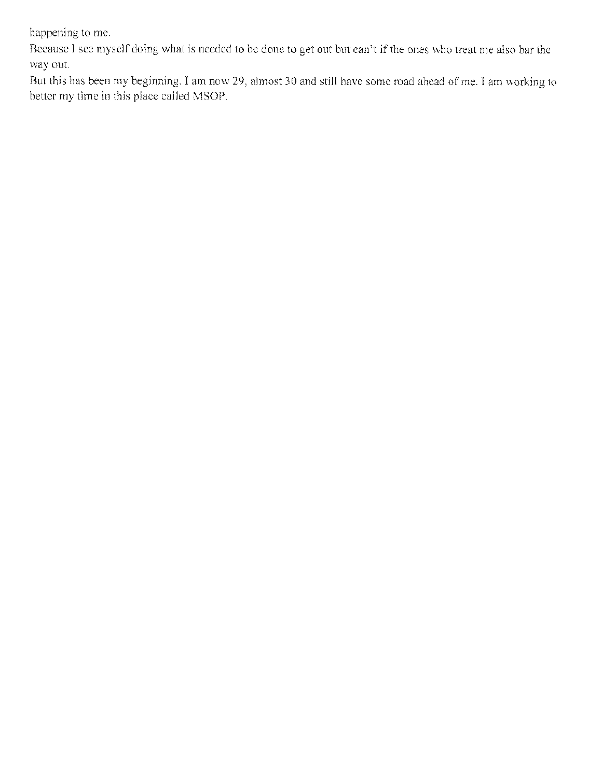happening to me.

Because I see myself doing what is needed to be done to get out but can't if the ones who treat me also bar the way out.

But this has been my beginning. I am now 29, almost 30 and still have some road ahead of me. I am working to better my time in this place called MSOP.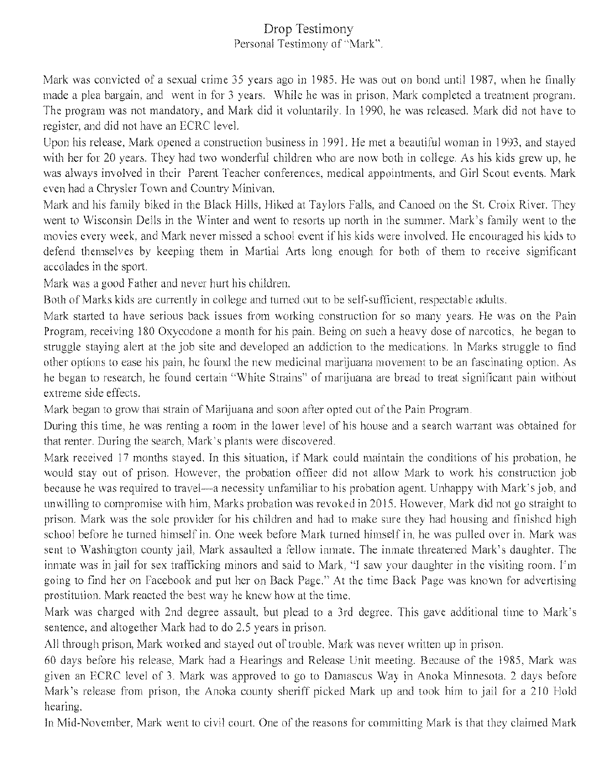# **Drop** Testimony Personal Testimony of "Mark".

Mark was convicted of a sexual crime 35 years ago in 1985. He was out on bond until 1987, when he finally made a plea bargain, and went in for 3 years. While he was in prison. Mark completed a treatment program. The program was not mandatory, and Mark did it voluntarily. In 1990, he was released. Mark did not have to register, and did not have an ECRC level.

Upon his release, Mark opened a construction business in 1991. He met a beautiful woman in 1993, and stayed with her for 20 years. They had two wonderful children who are now both in college. As his kids grew up, he was always involved in their Parent Teacher conferences, medical appointments, and Girl Scout events. Mark even had a Chrysler Town and Country Minivan.

Mark and his family biked in the Black Hills. Hiked at Taylors Falls, and Canoed on the St. Croix River. They went to Wisconsin Dells in the Winter and went to resorts up north in the summer. Mark's family went to the movies every week, and Mark never missed a school event if his kids were involved, lie encouraged his kids to defend themselves by keeping them in Martial Arts long enough for both of them to receive significant accolades in the sport.

Mark was a good Father and never hurt his children.

Both of Marks kids are currently in college and turned out to be self-sufficient, respectable adults.

Mark started to have serious back issues from working construction for so many years. He was on the Pain Program, receiving 180 Oxycodone a month for his pain. Being on such a heavy dose of narcotics, he began to struggle staying alert at the job site and developed an addiction to the medications. In Marks struggle to find other options to ease his pain, he found the new medicinal, marijuana movement to be an fascinating option. As he began to research. he found certain "White Strains" of marijuana are bread to treat significant pain without extreme side effects.

Mark began to grow that strain of Marijuana and soon after opted out of the Pain Program.

During this time, he was renting a. room in the lower level of his house and a search warrant was obtained for that renter. During the search, Mark's plants were discovered.

Mark received 17 months stayed. In this situation, if Mark could maintain the conditions of his probation, he would stay out of prison. However, the probation officer did not allow Mark to work, his construction job because he was required to travel—a necessity unfamiliar to his probation agent. Unhappy with Mark's job, and unwilling to compromise with him. Marks probation was revoked in 2015. However, Mark did not go straight to prison.. Mark was the sole provider for his children and had to make sure they had housing and finished high school before he turned himself in, One week before Mark turned himself in, he was pulled over in. Mark was sent to Washington county jail, Mark assaulted a fellow inmate. The inmate threatened Mark's daughter. The inmate was in jail for sex trafficking minors and said to Mark, "1 saw your daughter in the visiting room. I'm going to find her on Facebook and put her on Back Page." At the time Back Page was known for advertising prostitution. Mark reacted the best way he knew how at the time,

Mark was charged with 2nd degree assault, but plead to a 3rd degree. This gave additional time to Mark's sentence, and altogether Mark had to do 2.5 years in prison.

All through prison, Mark worked and stayed out of trouble. Mark was never written up in prison.

60 day's before his release, Mark had a Hearings and Release Unit meeting. Because of the 1985, Mark was given an FCRC level of 3. Mark was approved to go to Damascus Way in Anoka Minnesota, 2 days before Mark's release from prison, the Anoka county sheriff picked Mark up and took him to jail for a 210 Hold hearing.

In Mid-November. Mark went to civil court. One of the reasons for committing Mark is that they claimed Mark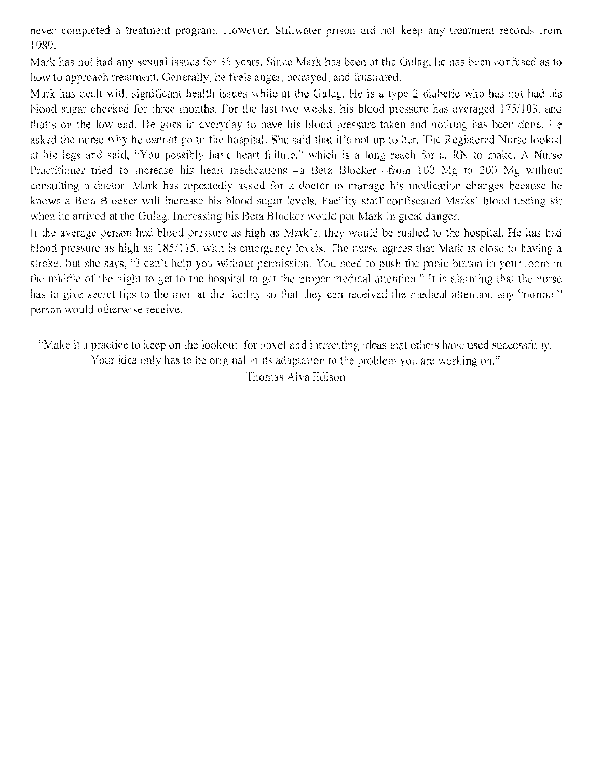never completed a treatment program. However. Stillwater prison did not keep any treatment records from 1989.

*N-lark* has not had any sexual issues for 35 years. Since Mark has been at the Gulag, he has been confused as to how to approach treatment. Generally, he feels anger, betrayed, and frustrated.

Mark has dealt with significant health issues while at the Gulag. He is a type 2 diabetic who has not had his blood sugar checked for three months. For the last two weeks, his blood pressure has averaged 175/1*03.* and that's on the low end. He goes in everyday to have his blood pressure taken and nothing has been done. He asked the nurse why he cannot go to the hospital. She said that it's not up to her. The Registered Nurse looked at his legs and said, "You possibly have heart failure," which is a long reach for a, RN to make. A Nurse Practitioner tried to increase his heart medications—a Beta Blocker—from 100 Mg to 200 Mg without consulting a doctor. Mark has repeatedly asked for a doctor to manage his medication changes because he knows a Beta Blocker will increase his blood sugar levels. Facility staff confiscated Marks' blood testing kit when he arrived at the Gulag. Increasing his Beta Blocker would put Mark in great danger.

If the average person had blood pressure as high as Mark's, they would be rushed to the hospital. He has had blood pressure as high as 185/115, with is emergency levels. The nurse agrees that Mark is close to having a stroke, but she says, "I can't help you without permission. You need to push the panic button in your room in the middle of the night to get to the hospital to get the proper medical attention," It is alarming that the nurse has to give secret tips to the men at the facility so that they can received the medical attention any "normal" person would otherwise receive.

'Make it a practice to keep on the lookout for novel and interesting ideas that others have used successfully. Your idea only has to be original in its adaptation to the problem you are working on." Thomas Alva Edison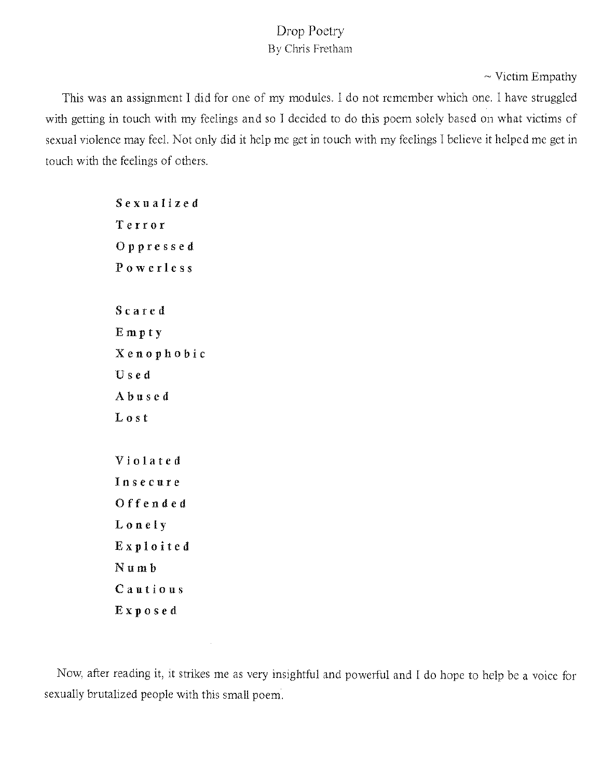# Drop Poetry By Chris Fretham

 $\sim$  Victim Empathy

This was an assignment I did for one of my modules. I do not remember which one. I have struggled with getting in touch with my feelings and so I decided to do this poem solely based on what victims of sexual violence may feel. Not only did it help me get in touch with my feelings I believe it helped me get in touch with the feelings of others.

> Sexualized Terror 0 p p r e s s e d Powerless Scared Empty  $X$ enophobic Used Abused Lost Violated Insecure Offended Lonely L3xploïted N u in b Cautious Exposed

Now, after reading it, it strikes me as very insightful and powerful and I do hope to help be a voice for sexually brutalized people with this small poem.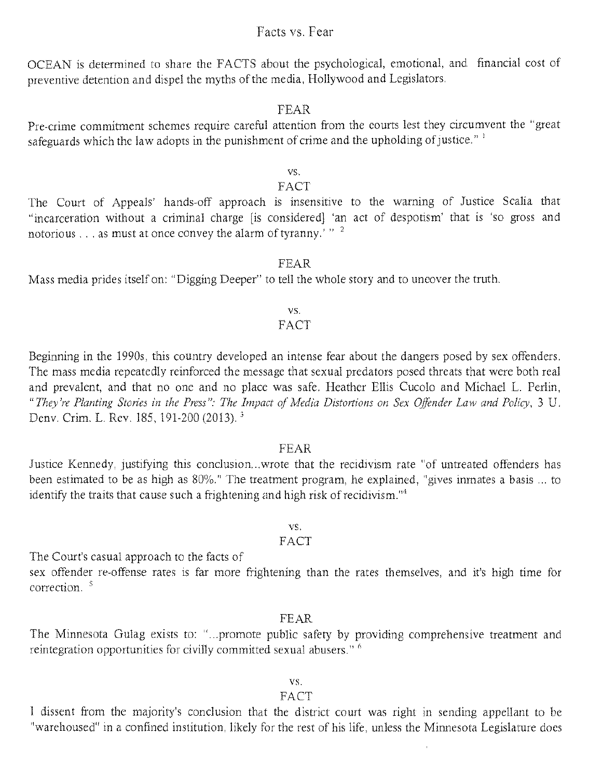## Facts vs. Fear

OCEAN is determined to share the FACTS about the psychological, emotional, and financial cost of preventive detention and dispel the myths of the media, Hollywood and Legislators.

#### FEAR

Pre-crime commitment schemes require careful attention from the courts lest they circumvent the "great safeguards which the law adopts in the punishment of crime and the upholding of justice."  $\frac{1}{1}$ 

#### vs.

## FACT

The Court of Appeals' hands-off approach is insensitive to the warning of Justice Scalia that "incarceration without a criminal charge [is considered] 'an act of despotism' that is 'so gross and notorious . . . as must at once convey the alarm of tyranny.' " $^2$ 

#### FEAR

Mass media prides itself on: "Digging Deeper" to tell the whole story and to uncover the truth.

## vs

## FACT

Beginning in the 1990s, this country developed an intense fear about the dangers posed by sex offenders. The mass media repeatedly reinforced the message that sexual predators posed threats that were both real and prevalent, and that no one and no place was safe. Heather Ellis Cucolo and Michael L. Perlin, *"They're Planting Stories in the Press": The Impact of Media Distortions on Sex Offender Law and Policy,* 3 U. Deny. Crim, L. Rev. 185, 191-200 (2013).

#### FEAR

Justice Kennedy, justifying this conclusion ... wrote that the recidivism rate "of untreated offenders has been estimated to be as high as 80%." The treatment program, he explained. "gives inmates a basis ... to identify the traits that cause such a frightening and high risk of recidivism.<sup> $n<sub>4</sub>$ </sup>

#### vs.

## FACT

The Court's casual approach to the facts of

sex offender re-offense rates is far more frightening than the rates themselves, and it's high time for correction,

#### FEAR

The Minnesota Gulag exists to: "...promote public safety by providing comprehensive treatment and reintegration opportunities for civilly committed sexual abusers."

#### vs.

## FACT

I dissent from the majority's conclusion that the district court was right in sending appellant to be "warehoused" in a confined institution, likely for the rest of his life, unless the Minnesota Legislature does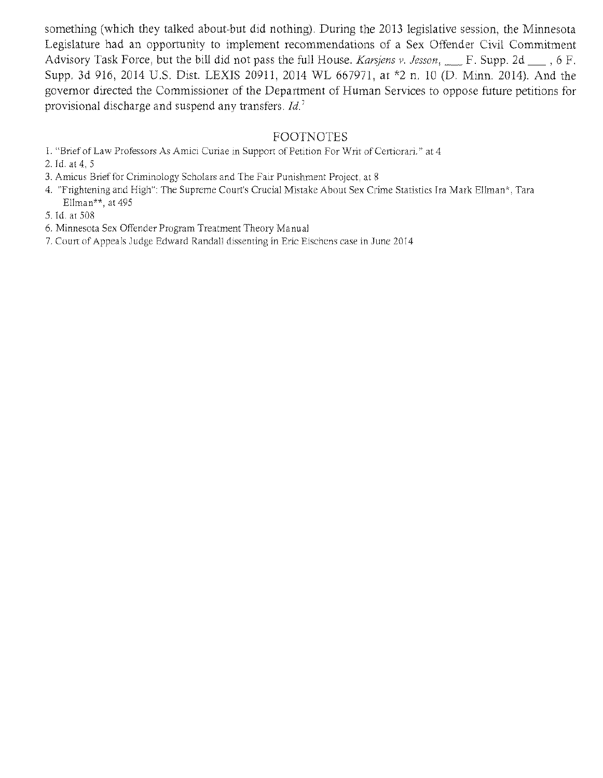something (which they talked about-but did nothing). During the 2013 legislative session, the Minnesota Legislature had an opportunity to implement recommendations of a Sex Offender Civil Commitment Advisory Task Force, but the bill did not pass the full House. *Karsjens v, Jesson*, F. Supp. 2d <sub>b</sub>, 6 F. Supp, 3d 916, 2014 U.S. Dist. LEXIS 20911, 2014 WL 667971, at \*2 n, 10 (D. Minn. 2014). And the governor directed the Commissioner of the Department of Human Services to oppose future petitions for provisional discharge and suspend any transfers. *Id.'* 

# FOOTNOTES

- I. "Brief of Law Professors As Amici Curiae in Support of Petition For Writ of Certiorari." at 4
- 2. Id. at 4,5
- 3. Amicus Brief for Criminology Scholars and The Fair Punishment Project, at 8
- 4. "Frightening and High": The Supreme Court's Crucial Mistake About Sex Crime Statistics Ira Mark Ellman\*, Tara Ellman\*\*, at 495
- 5. Id. at 508
- 6, Minnesota Sex Offender Program Treatment Theory Manual
- 7, Court of Appeals Judge Edward Randall dissenting in Eric Eischens case in June 2014